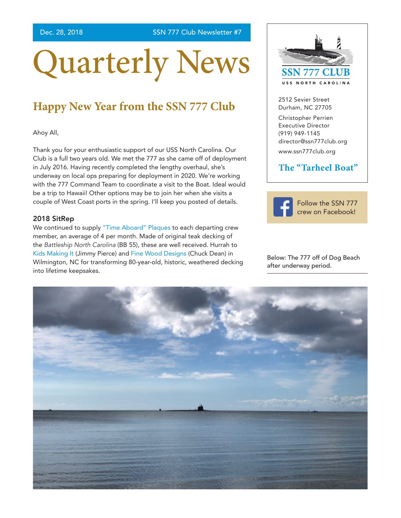Dec. 28, 2018 SSN 777 Club Newsletter #7

# Quarterly News

## **Happy New Year from the SSN 777 Club**

Ahoy All,

Thank you for your enthusiastic support of our USS North Carolina. Our Club is a full two years old. We met the 777 as she came off of deployment in July 2016. Having recently completed the lengthy overhaul, she's underway on local ops preparing for deployment in 2020. We're working with the 777 Command Team to coordinate a visit to the Boat. Ideal would be a trip to Hawaii! Other options may be to join her when she visits a couple of West Coast ports in the spring. I'll keep you posted of details.

#### 2018 SitRep

We continued to supply ["Time Aboard" Plaques](http://www.ssn777club.org/time-aboard-plaque-program) to each departing crew member, an average of 4 per month. Made of original teak decking of the *Battleship North Carolina* (BB 55), these are well received. Hurrah to [Kids Making It](https://kidsmakingit.org/) (Jimmy Pierce) and [Fine Wood Designs](https://www.facebook.com/Fine-Wood-Designs-1452770728277119/) (Chuck Dean) in Wilmington, NC for transforming 80-year-old, historic, weathered decking into lifetime keepsakes.



2512 Sevier Street Durham, NC 27705 Christopher Perrien Executive Director (919) 949-1145 [director@ssn777club.org](mailto:director%40ssn777club.org?subject=)

<www.ssn777club.org>

### **The "Tarheel Boat"**



[Follow the SSN 777](https://www.facebook.com/USSNorthCarolina/)  [crew on Facebook!](https://www.facebook.com/USSNorthCarolina/)

Below: The 777 off of Dog Beach after underway period.